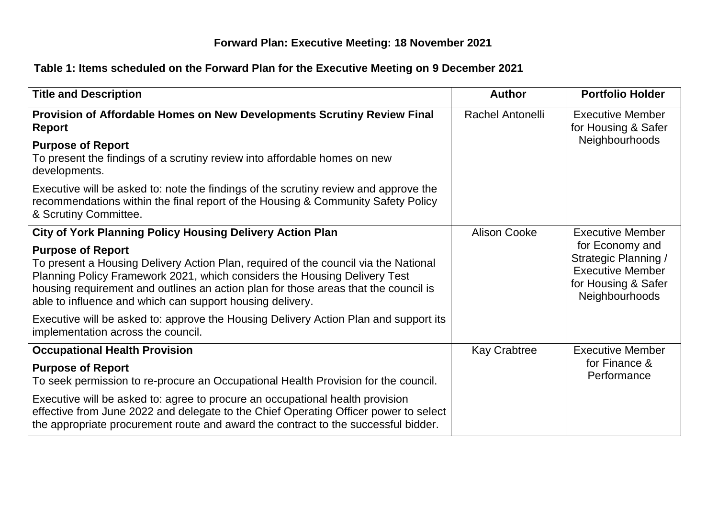## **Forward Plan: Executive Meeting: 18 November 2021**

## **Table 1: Items scheduled on the Forward Plan for the Executive Meeting on 9 December 2021**

| <b>Title and Description</b>                                                                                                                                                                                                                                                                                                                     | <b>Author</b>           | <b>Portfolio Holder</b>                                                                                     |
|--------------------------------------------------------------------------------------------------------------------------------------------------------------------------------------------------------------------------------------------------------------------------------------------------------------------------------------------------|-------------------------|-------------------------------------------------------------------------------------------------------------|
| Provision of Affordable Homes on New Developments Scrutiny Review Final<br><b>Report</b>                                                                                                                                                                                                                                                         | <b>Rachel Antonelli</b> | <b>Executive Member</b><br>for Housing & Safer                                                              |
| <b>Purpose of Report</b><br>To present the findings of a scrutiny review into affordable homes on new<br>developments.                                                                                                                                                                                                                           |                         | Neighbourhoods                                                                                              |
| Executive will be asked to: note the findings of the scrutiny review and approve the<br>recommendations within the final report of the Housing & Community Safety Policy<br>& Scrutiny Committee.                                                                                                                                                |                         |                                                                                                             |
| <b>City of York Planning Policy Housing Delivery Action Plan</b>                                                                                                                                                                                                                                                                                 | <b>Alison Cooke</b>     | <b>Executive Member</b>                                                                                     |
| <b>Purpose of Report</b><br>To present a Housing Delivery Action Plan, required of the council via the National<br>Planning Policy Framework 2021, which considers the Housing Delivery Test<br>housing requirement and outlines an action plan for those areas that the council is<br>able to influence and which can support housing delivery. |                         | for Economy and<br>Strategic Planning /<br><b>Executive Member</b><br>for Housing & Safer<br>Neighbourhoods |
| Executive will be asked to: approve the Housing Delivery Action Plan and support its<br>implementation across the council.                                                                                                                                                                                                                       |                         |                                                                                                             |
| <b>Occupational Health Provision</b>                                                                                                                                                                                                                                                                                                             | <b>Kay Crabtree</b>     | <b>Executive Member</b>                                                                                     |
| <b>Purpose of Report</b><br>To seek permission to re-procure an Occupational Health Provision for the council.                                                                                                                                                                                                                                   |                         | for Finance &<br>Performance                                                                                |
| Executive will be asked to: agree to procure an occupational health provision<br>effective from June 2022 and delegate to the Chief Operating Officer power to select<br>the appropriate procurement route and award the contract to the successful bidder.                                                                                      |                         |                                                                                                             |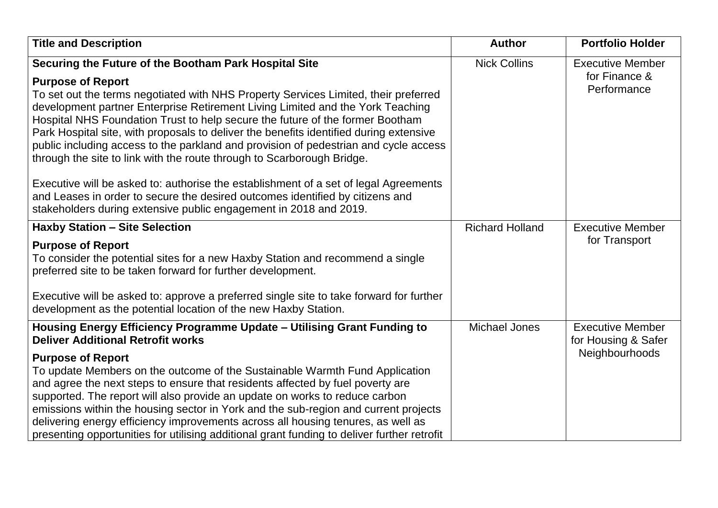| <b>Title and Description</b>                                                                                                                                                                                                                                                                                                                                                                                                                                                                                                                                                                                                                                                                                                                                                                                                                          | <b>Author</b>          | <b>Portfolio Holder</b>                                          |  |
|-------------------------------------------------------------------------------------------------------------------------------------------------------------------------------------------------------------------------------------------------------------------------------------------------------------------------------------------------------------------------------------------------------------------------------------------------------------------------------------------------------------------------------------------------------------------------------------------------------------------------------------------------------------------------------------------------------------------------------------------------------------------------------------------------------------------------------------------------------|------------------------|------------------------------------------------------------------|--|
| Securing the Future of the Bootham Park Hospital Site<br><b>Purpose of Report</b><br>To set out the terms negotiated with NHS Property Services Limited, their preferred<br>development partner Enterprise Retirement Living Limited and the York Teaching<br>Hospital NHS Foundation Trust to help secure the future of the former Bootham<br>Park Hospital site, with proposals to deliver the benefits identified during extensive<br>public including access to the parkland and provision of pedestrian and cycle access<br>through the site to link with the route through to Scarborough Bridge.<br>Executive will be asked to: authorise the establishment of a set of legal Agreements<br>and Leases in order to secure the desired outcomes identified by citizens and<br>stakeholders during extensive public engagement in 2018 and 2019. | <b>Nick Collins</b>    | <b>Executive Member</b><br>for Finance &<br>Performance          |  |
| <b>Haxby Station - Site Selection</b><br><b>Purpose of Report</b><br>To consider the potential sites for a new Haxby Station and recommend a single<br>preferred site to be taken forward for further development.<br>Executive will be asked to: approve a preferred single site to take forward for further<br>development as the potential location of the new Haxby Station.                                                                                                                                                                                                                                                                                                                                                                                                                                                                      | <b>Richard Holland</b> | <b>Executive Member</b><br>for Transport                         |  |
| Housing Energy Efficiency Programme Update - Utilising Grant Funding to<br><b>Deliver Additional Retrofit works</b><br><b>Purpose of Report</b><br>To update Members on the outcome of the Sustainable Warmth Fund Application<br>and agree the next steps to ensure that residents affected by fuel poverty are<br>supported. The report will also provide an update on works to reduce carbon<br>emissions within the housing sector in York and the sub-region and current projects<br>delivering energy efficiency improvements across all housing tenures, as well as<br>presenting opportunities for utilising additional grant funding to deliver further retrofit                                                                                                                                                                             | <b>Michael Jones</b>   | <b>Executive Member</b><br>for Housing & Safer<br>Neighbourhoods |  |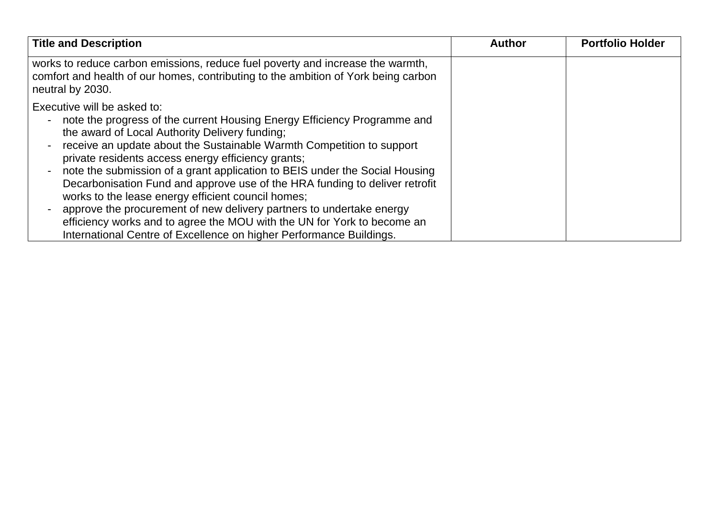| <b>Title and Description</b>                                                                                                                                                                                                                                                                                                                                                                                                                                                                                                                                                                                                                                                                                                                             | <b>Author</b> | <b>Portfolio Holder</b> |
|----------------------------------------------------------------------------------------------------------------------------------------------------------------------------------------------------------------------------------------------------------------------------------------------------------------------------------------------------------------------------------------------------------------------------------------------------------------------------------------------------------------------------------------------------------------------------------------------------------------------------------------------------------------------------------------------------------------------------------------------------------|---------------|-------------------------|
| works to reduce carbon emissions, reduce fuel poverty and increase the warmth,<br>comfort and health of our homes, contributing to the ambition of York being carbon<br>neutral by 2030.                                                                                                                                                                                                                                                                                                                                                                                                                                                                                                                                                                 |               |                         |
| Executive will be asked to:<br>note the progress of the current Housing Energy Efficiency Programme and<br>the award of Local Authority Delivery funding;<br>receive an update about the Sustainable Warmth Competition to support<br>private residents access energy efficiency grants;<br>note the submission of a grant application to BEIS under the Social Housing<br>$\blacksquare$<br>Decarbonisation Fund and approve use of the HRA funding to deliver retrofit<br>works to the lease energy efficient council homes;<br>approve the procurement of new delivery partners to undertake energy<br>efficiency works and to agree the MOU with the UN for York to become an<br>International Centre of Excellence on higher Performance Buildings. |               |                         |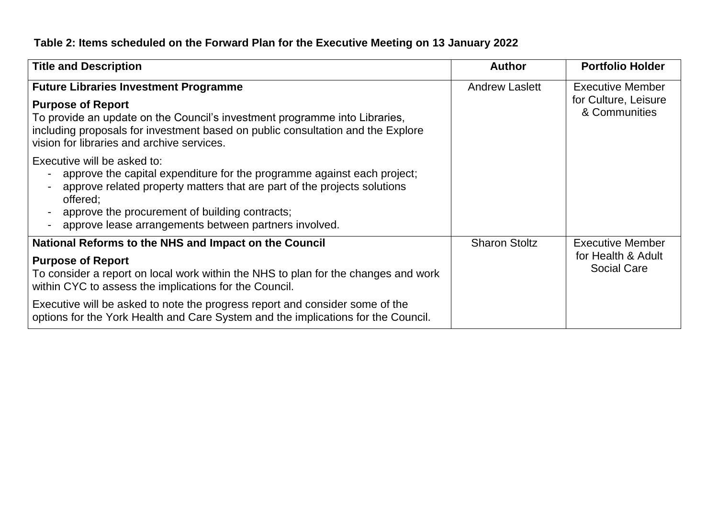## **Table 2: Items scheduled on the Forward Plan for the Executive Meeting on 13 January 2022**

| <b>Title and Description</b>                                                                                                                                                                                                                                                                              | <b>Author</b>         | <b>Portfolio Holder</b>                                          |
|-----------------------------------------------------------------------------------------------------------------------------------------------------------------------------------------------------------------------------------------------------------------------------------------------------------|-----------------------|------------------------------------------------------------------|
| <b>Future Libraries Investment Programme</b><br><b>Purpose of Report</b><br>To provide an update on the Council's investment programme into Libraries,<br>including proposals for investment based on public consultation and the Explore<br>vision for libraries and archive services.                   | <b>Andrew Laslett</b> | <b>Executive Member</b><br>for Culture, Leisure<br>& Communities |
| Executive will be asked to:<br>approve the capital expenditure for the programme against each project;<br>approve related property matters that are part of the projects solutions<br>offered:<br>approve the procurement of building contracts;<br>approve lease arrangements between partners involved. |                       |                                                                  |
| National Reforms to the NHS and Impact on the Council                                                                                                                                                                                                                                                     | <b>Sharon Stoltz</b>  | <b>Executive Member</b>                                          |
| <b>Purpose of Report</b><br>To consider a report on local work within the NHS to plan for the changes and work<br>within CYC to assess the implications for the Council.                                                                                                                                  |                       | for Health & Adult<br><b>Social Care</b>                         |
| Executive will be asked to note the progress report and consider some of the<br>options for the York Health and Care System and the implications for the Council.                                                                                                                                         |                       |                                                                  |